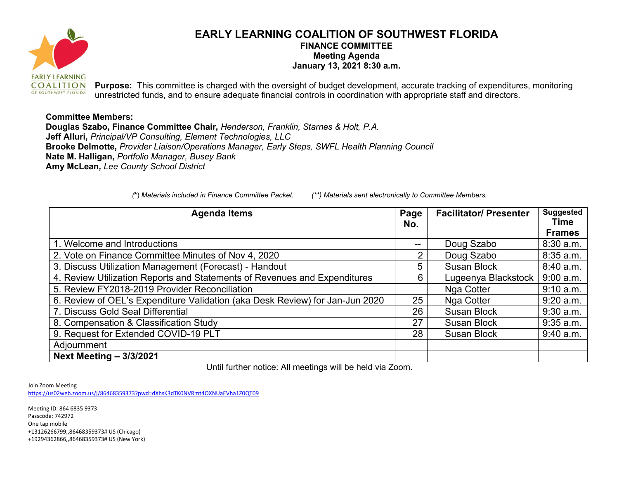

## **EARLY LEARNING COALITION OF SOUTHWEST FLORIDA FINANCE COMMITTEE Meeting Agenda January 13, 2021 8:30 a.m.**

**Purpose:** This committee is charged with the oversight of budget development, accurate tracking of expenditures, monitoring unrestricted funds, and to ensure adequate financial controls in coordination with appropriate staff and directors.

## **Committee Members:**

**Douglas Szabo, Finance Committee Chair,** *Henderson, Franklin, Starnes & Holt, P.A.* **Jeff Alluri,** *Principal/VP Consulting, Element Technologies, LLC* **Brooke Delmotte,** *Provider Liaison/Operations Manager, Early Steps, SWFL Health Planning Council* **Nate M. Halligan,** *Portfolio Manager, Busey Bank* **Amy McLean***, Lee County School District*

*(***\***) *Materials included in Finance Committee Packet. (\*\*) Materials sent electronically to Committee Members.*

| <b>Agenda Items</b>                                                          | Page<br>No. | <b>Facilitator/ Presenter</b> | <b>Suggested</b><br>Time<br><b>Frames</b> |
|------------------------------------------------------------------------------|-------------|-------------------------------|-------------------------------------------|
| 1. Welcome and Introductions                                                 | --          | Doug Szabo                    | $8:30$ a.m.                               |
| 2. Vote on Finance Committee Minutes of Nov 4, 2020                          | 2           | Doug Szabo                    | 8:35 a.m.                                 |
| 3. Discuss Utilization Management (Forecast) - Handout                       | 5           | <b>Susan Block</b>            | 8:40 a.m.                                 |
| 4. Review Utilization Reports and Statements of Revenues and Expenditures    | 6           | Lugeenya Blackstock           | 9:00 a.m.                                 |
| 5. Review FY2018-2019 Provider Reconciliation                                |             | Nga Cotter                    | 9:10 a.m.                                 |
| 6. Review of OEL's Expenditure Validation (aka Desk Review) for Jan-Jun 2020 | 25          | Nga Cotter                    | $9:20$ a.m.                               |
| 7. Discuss Gold Seal Differential                                            | 26          | <b>Susan Block</b>            | $9:30$ a.m.                               |
| 8. Compensation & Classification Study                                       | 27          | <b>Susan Block</b>            | $9:35$ a.m.                               |
| 9. Request for Extended COVID-19 PLT                                         | 28          | <b>Susan Block</b>            | $9:40$ a.m.                               |
| Adjournment                                                                  |             |                               |                                           |
| <b>Next Meeting - 3/3/2021</b>                                               |             |                               |                                           |

Until further notice: All meetings will be held via Zoom.

Join Zoom Meeting

<https://us02web.zoom.us/j/86468359373?pwd=dXhsK3dTK0NVRmt4OXNUaEVha1Z0QT09>

Meeting ID: 864 6835 9373 Passcode: 742972 One tap mobile +13126266799,,86468359373# US (Chicago) +19294362866,,86468359373# US (New York)